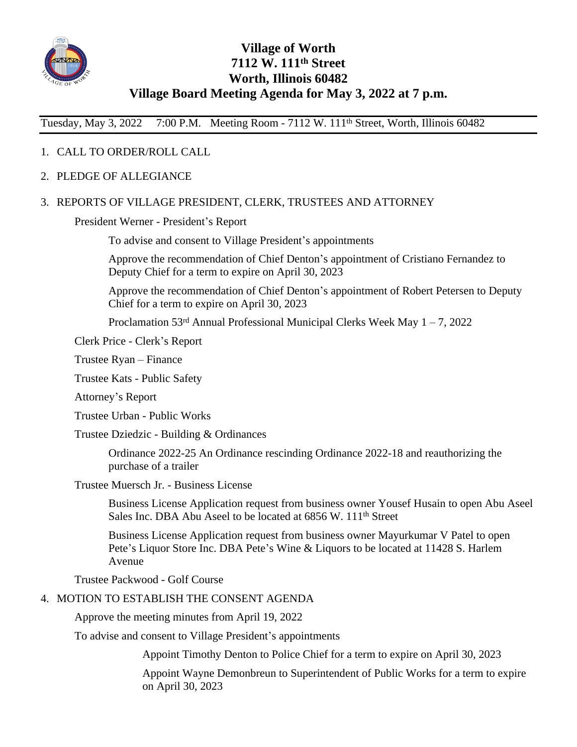

# **Village of Worth 7112 W. 111th Street Worth, Illinois 60482 Village Board Meeting Agenda for May 3, 2022 at 7 p.m.**

Tuesday, May 3, 2022 7:00 P.M. Meeting Room - 7112 W. 111th Street, Worth, Illinois 60482

## 1. CALL TO ORDER/ROLL CALL

2. PLEDGE OF ALLEGIANCE

#### 3. REPORTS OF VILLAGE PRESIDENT, CLERK, TRUSTEES AND ATTORNEY

President Werner - President's Report

To advise and consent to Village President's appointments

Approve the recommendation of Chief Denton's appointment of Cristiano Fernandez to Deputy Chief for a term to expire on April 30, 2023

Approve the recommendation of Chief Denton's appointment of Robert Petersen to Deputy Chief for a term to expire on April 30, 2023

Proclamation  $53<sup>rd</sup>$  Annual Professional Municipal Clerks Week May  $1 - 7$ , 2022

Clerk Price - Clerk's Report

Trustee Ryan – Finance

Trustee Kats - Public Safety

Attorney's Report

Trustee Urban - Public Works

Trustee Dziedzic - Building & Ordinances

Ordinance 2022-25 An Ordinance rescinding Ordinance 2022-18 and reauthorizing the purchase of a trailer

Trustee Muersch Jr. - Business License

Business License Application request from business owner Yousef Husain to open Abu Aseel Sales Inc. DBA Abu Aseel to be located at 6856 W, 111<sup>th</sup> Street

Business License Application request from business owner Mayurkumar V Patel to open Pete's Liquor Store Inc. DBA Pete's Wine & Liquors to be located at 11428 S. Harlem Avenue

Trustee Packwood - Golf Course

#### 4. MOTION TO ESTABLISH THE CONSENT AGENDA

Approve the meeting minutes from April 19, 2022

To advise and consent to Village President's appointments

Appoint Timothy Denton to Police Chief for a term to expire on April 30, 2023

Appoint Wayne Demonbreun to Superintendent of Public Works for a term to expire on April 30, 2023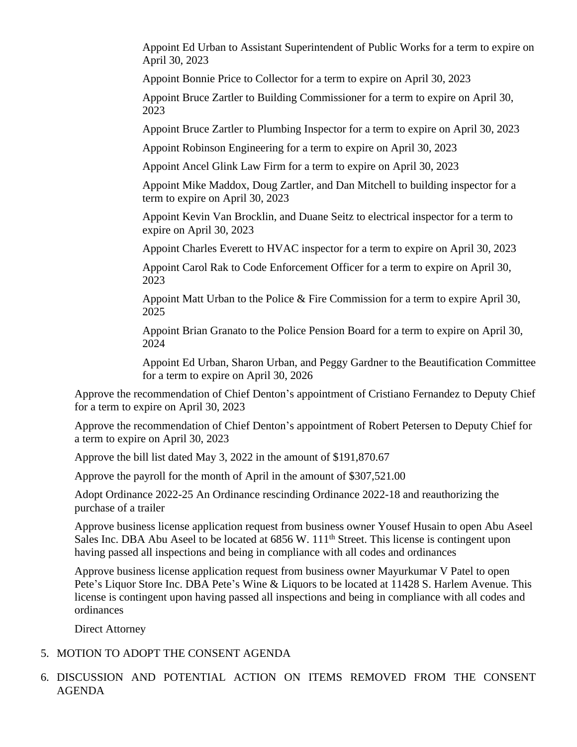Appoint Ed Urban to Assistant Superintendent of Public Works for a term to expire on April 30, 2023

Appoint Bonnie Price to Collector for a term to expire on April 30, 2023

Appoint Bruce Zartler to Building Commissioner for a term to expire on April 30, 2023

Appoint Bruce Zartler to Plumbing Inspector for a term to expire on April 30, 2023

Appoint Robinson Engineering for a term to expire on April 30, 2023

Appoint Ancel Glink Law Firm for a term to expire on April 30, 2023

Appoint Mike Maddox, Doug Zartler, and Dan Mitchell to building inspector for a term to expire on April 30, 2023

Appoint Kevin Van Brocklin, and Duane Seitz to electrical inspector for a term to expire on April 30, 2023

Appoint Charles Everett to HVAC inspector for a term to expire on April 30, 2023

Appoint Carol Rak to Code Enforcement Officer for a term to expire on April 30, 2023

Appoint Matt Urban to the Police & Fire Commission for a term to expire April 30, 2025

Appoint Brian Granato to the Police Pension Board for a term to expire on April 30, 2024

Appoint Ed Urban, Sharon Urban, and Peggy Gardner to the Beautification Committee for a term to expire on April 30, 2026

Approve the recommendation of Chief Denton's appointment of Cristiano Fernandez to Deputy Chief for a term to expire on April 30, 2023

Approve the recommendation of Chief Denton's appointment of Robert Petersen to Deputy Chief for a term to expire on April 30, 2023

Approve the bill list dated May 3, 2022 in the amount of \$191,870.67

Approve the payroll for the month of April in the amount of \$307,521.00

Adopt Ordinance 2022-25 An Ordinance rescinding Ordinance 2022-18 and reauthorizing the purchase of a trailer

Approve business license application request from business owner Yousef Husain to open Abu Aseel Sales Inc. DBA Abu Aseel to be located at 6856 W. 111<sup>th</sup> Street. This license is contingent upon having passed all inspections and being in compliance with all codes and ordinances

Approve business license application request from business owner Mayurkumar V Patel to open Pete's Liquor Store Inc. DBA Pete's Wine & Liquors to be located at 11428 S. Harlem Avenue. This license is contingent upon having passed all inspections and being in compliance with all codes and ordinances

Direct Attorney

#### 5. MOTION TO ADOPT THE CONSENT AGENDA

6. DISCUSSION AND POTENTIAL ACTION ON ITEMS REMOVED FROM THE CONSENT AGENDA